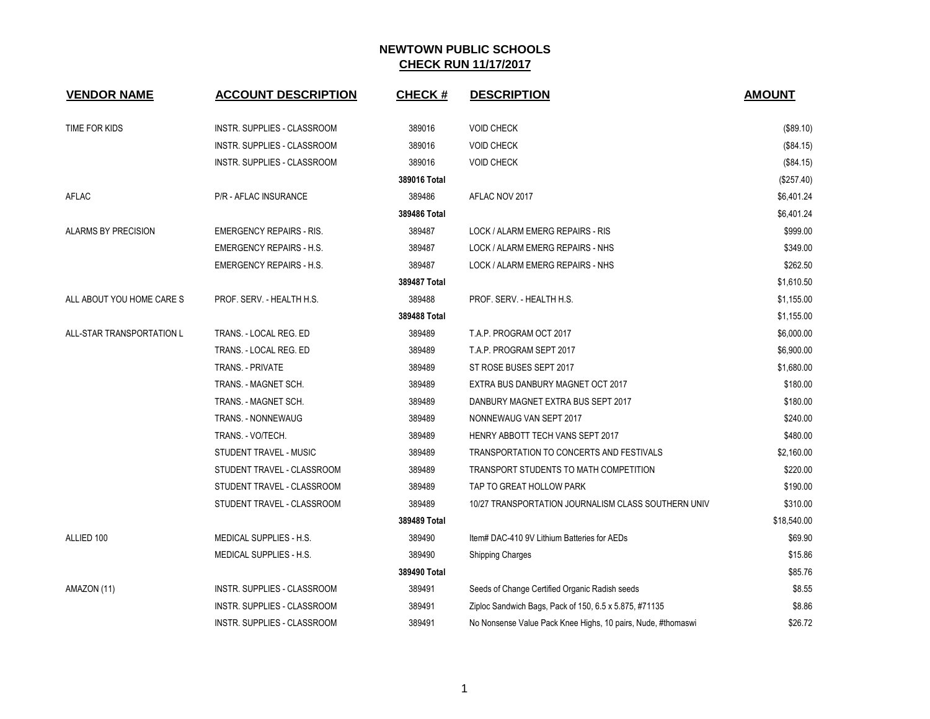| <b>VENDOR NAME</b>         | <b>ACCOUNT DESCRIPTION</b>         | <b>CHECK#</b> | <b>DESCRIPTION</b>                                           | <b>AMOUNT</b> |
|----------------------------|------------------------------------|---------------|--------------------------------------------------------------|---------------|
| TIME FOR KIDS              | INSTR. SUPPLIES - CLASSROOM        | 389016        | <b>VOID CHECK</b>                                            | (\$89.10)     |
|                            | INSTR. SUPPLIES - CLASSROOM        | 389016        | <b>VOID CHECK</b>                                            | (\$84.15)     |
|                            | INSTR. SUPPLIES - CLASSROOM        | 389016        | <b>VOID CHECK</b>                                            | (\$84.15)     |
|                            |                                    | 389016 Total  |                                                              | (\$257.40)    |
| <b>AFLAC</b>               | P/R - AFLAC INSURANCE              | 389486        | AFLAC NOV 2017                                               | \$6,401.24    |
|                            |                                    | 389486 Total  |                                                              | \$6,401.24    |
| <b>ALARMS BY PRECISION</b> | <b>EMERGENCY REPAIRS - RIS.</b>    | 389487        | LOCK / ALARM EMERG REPAIRS - RIS                             | \$999.00      |
|                            | <b>EMERGENCY REPAIRS - H.S.</b>    | 389487        | LOCK / ALARM EMERG REPAIRS - NHS                             | \$349.00      |
|                            | EMERGENCY REPAIRS - H.S.           | 389487        | LOCK / ALARM EMERG REPAIRS - NHS                             | \$262.50      |
|                            |                                    | 389487 Total  |                                                              | \$1,610.50    |
| ALL ABOUT YOU HOME CARE S  | PROF. SERV. - HEALTH H.S.          | 389488        | PROF. SERV. - HEALTH H.S.                                    | \$1,155.00    |
|                            |                                    | 389488 Total  |                                                              | \$1,155.00    |
| ALL-STAR TRANSPORTATION L  | TRANS. - LOCAL REG. ED             | 389489        | T.A.P. PROGRAM OCT 2017                                      | \$6,000.00    |
|                            | TRANS. - LOCAL REG. ED             | 389489        | T.A.P. PROGRAM SEPT 2017                                     | \$6,900.00    |
|                            | <b>TRANS. - PRIVATE</b>            | 389489        | ST ROSE BUSES SEPT 2017                                      | \$1,680.00    |
|                            | TRANS. - MAGNET SCH.               | 389489        | EXTRA BUS DANBURY MAGNET OCT 2017                            | \$180.00      |
|                            | TRANS. - MAGNET SCH.               | 389489        | DANBURY MAGNET EXTRA BUS SEPT 2017                           | \$180.00      |
|                            | TRANS. - NONNEWAUG                 | 389489        | NONNEWAUG VAN SEPT 2017                                      | \$240.00      |
|                            | TRANS. - VO/TECH.                  | 389489        | HENRY ABBOTT TECH VANS SEPT 2017                             | \$480.00      |
|                            | STUDENT TRAVEL - MUSIC             | 389489        | TRANSPORTATION TO CONCERTS AND FESTIVALS                     | \$2,160.00    |
|                            | STUDENT TRAVEL - CLASSROOM         | 389489        | TRANSPORT STUDENTS TO MATH COMPETITION                       | \$220.00      |
|                            | STUDENT TRAVEL - CLASSROOM         | 389489        | TAP TO GREAT HOLLOW PARK                                     | \$190.00      |
|                            | STUDENT TRAVEL - CLASSROOM         | 389489        | 10/27 TRANSPORTATION JOURNALISM CLASS SOUTHERN UNIV          | \$310.00      |
|                            |                                    | 389489 Total  |                                                              | \$18,540.00   |
| ALLIED 100                 | MEDICAL SUPPLIES - H.S.            | 389490        | Item# DAC-410 9V Lithium Batteries for AEDs                  | \$69.90       |
|                            | MEDICAL SUPPLIES - H.S.            | 389490        | <b>Shipping Charges</b>                                      | \$15.86       |
|                            |                                    | 389490 Total  |                                                              | \$85.76       |
| AMAZON (11)                | INSTR. SUPPLIES - CLASSROOM        | 389491        | Seeds of Change Certified Organic Radish seeds               | \$8.55        |
|                            | <b>INSTR. SUPPLIES - CLASSROOM</b> | 389491        | Ziploc Sandwich Bags, Pack of 150, 6.5 x 5.875, #71135       | \$8.86        |
|                            | INSTR. SUPPLIES - CLASSROOM        | 389491        | No Nonsense Value Pack Knee Highs, 10 pairs, Nude, #thomaswi | \$26.72       |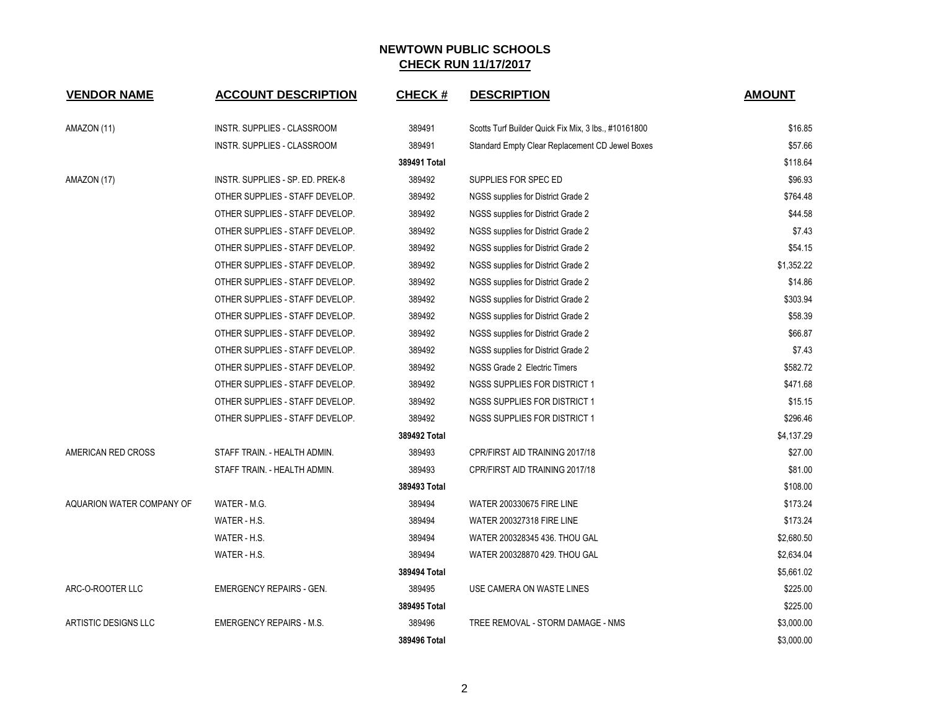| <b>VENDOR NAME</b>        | <b>ACCOUNT DESCRIPTION</b>       | <b>CHECK#</b> | <b>DESCRIPTION</b>                                   | <b>AMOUNT</b> |
|---------------------------|----------------------------------|---------------|------------------------------------------------------|---------------|
| AMAZON (11)               | INSTR. SUPPLIES - CLASSROOM      | 389491        | Scotts Turf Builder Quick Fix Mix, 3 lbs., #10161800 | \$16.85       |
|                           | INSTR. SUPPLIES - CLASSROOM      | 389491        | Standard Empty Clear Replacement CD Jewel Boxes      | \$57.66       |
|                           |                                  | 389491 Total  |                                                      | \$118.64      |
| AMAZON (17)               | INSTR. SUPPLIES - SP. ED. PREK-8 | 389492        | SUPPLIES FOR SPEC ED                                 | \$96.93       |
|                           | OTHER SUPPLIES - STAFF DEVELOP.  | 389492        | NGSS supplies for District Grade 2                   | \$764.48      |
|                           | OTHER SUPPLIES - STAFF DEVELOP.  | 389492        | NGSS supplies for District Grade 2                   | \$44.58       |
|                           | OTHER SUPPLIES - STAFF DEVELOP.  | 389492        | NGSS supplies for District Grade 2                   | \$7.43        |
|                           | OTHER SUPPLIES - STAFF DEVELOP.  | 389492        | NGSS supplies for District Grade 2                   | \$54.15       |
|                           | OTHER SUPPLIES - STAFF DEVELOP.  | 389492        | NGSS supplies for District Grade 2                   | \$1,352.22    |
|                           | OTHER SUPPLIES - STAFF DEVELOP.  | 389492        | NGSS supplies for District Grade 2                   | \$14.86       |
|                           | OTHER SUPPLIES - STAFF DEVELOP.  | 389492        | NGSS supplies for District Grade 2                   | \$303.94      |
|                           | OTHER SUPPLIES - STAFF DEVELOP.  | 389492        | NGSS supplies for District Grade 2                   | \$58.39       |
|                           | OTHER SUPPLIES - STAFF DEVELOP.  | 389492        | NGSS supplies for District Grade 2                   | \$66.87       |
|                           | OTHER SUPPLIES - STAFF DEVELOP.  | 389492        | NGSS supplies for District Grade 2                   | \$7.43        |
|                           | OTHER SUPPLIES - STAFF DEVELOP.  | 389492        | NGSS Grade 2 Electric Timers                         | \$582.72      |
|                           | OTHER SUPPLIES - STAFF DEVELOP.  | 389492        | NGSS SUPPLIES FOR DISTRICT 1                         | \$471.68      |
|                           | OTHER SUPPLIES - STAFF DEVELOP.  | 389492        | <b>NGSS SUPPLIES FOR DISTRICT 1</b>                  | \$15.15       |
|                           | OTHER SUPPLIES - STAFF DEVELOP.  | 389492        | <b>NGSS SUPPLIES FOR DISTRICT 1</b>                  | \$296.46      |
|                           |                                  | 389492 Total  |                                                      | \$4,137.29    |
| AMERICAN RED CROSS        | STAFF TRAIN. - HEALTH ADMIN.     | 389493        | CPR/FIRST AID TRAINING 2017/18                       | \$27.00       |
|                           | STAFF TRAIN. - HEALTH ADMIN.     | 389493        | CPR/FIRST AID TRAINING 2017/18                       | \$81.00       |
|                           |                                  | 389493 Total  |                                                      | \$108.00      |
| AQUARION WATER COMPANY OF | WATER - M.G.                     | 389494        | <b>WATER 200330675 FIRE LINE</b>                     | \$173.24      |
|                           | WATER - H.S.                     | 389494        | <b>WATER 200327318 FIRE LINE</b>                     | \$173.24      |
|                           | WATER - H.S.                     | 389494        | WATER 200328345 436. THOU GAL                        | \$2,680.50    |
|                           | WATER - H.S.                     | 389494        | WATER 200328870 429. THOU GAL                        | \$2,634.04    |
|                           |                                  | 389494 Total  |                                                      | \$5,661.02    |
| ARC-O-ROOTER LLC          | <b>EMERGENCY REPAIRS - GEN.</b>  | 389495        | USE CAMERA ON WASTE LINES                            | \$225.00      |
|                           |                                  | 389495 Total  |                                                      | \$225.00      |
| ARTISTIC DESIGNS LLC      | <b>EMERGENCY REPAIRS - M.S.</b>  | 389496        | TREE REMOVAL - STORM DAMAGE - NMS                    | \$3,000.00    |
|                           |                                  | 389496 Total  |                                                      | \$3,000.00    |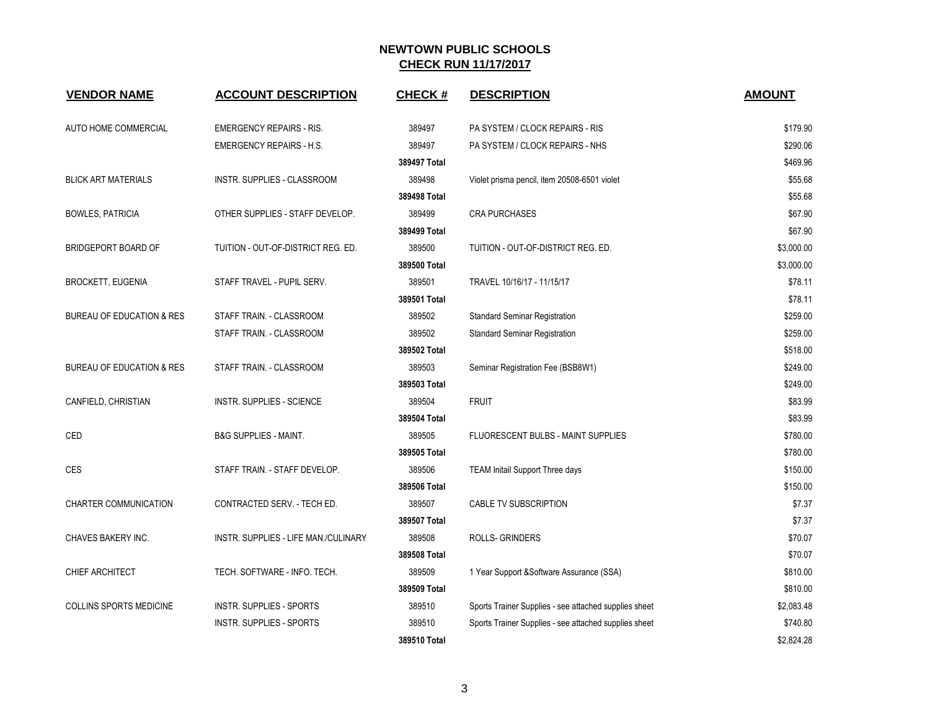| <b>VENDOR NAME</b>                   | <b>ACCOUNT DESCRIPTION</b>           | <b>CHECK#</b> | <b>DESCRIPTION</b>                                    | <b>AMOUNT</b> |
|--------------------------------------|--------------------------------------|---------------|-------------------------------------------------------|---------------|
| AUTO HOME COMMERCIAL                 | <b>EMERGENCY REPAIRS - RIS.</b>      | 389497        | PA SYSTEM / CLOCK REPAIRS - RIS                       | \$179.90      |
|                                      | <b>EMERGENCY REPAIRS - H.S.</b>      | 389497        | PA SYSTEM / CLOCK REPAIRS - NHS                       | \$290.06      |
|                                      |                                      | 389497 Total  |                                                       | \$469.96      |
| <b>BLICK ART MATERIALS</b>           | INSTR. SUPPLIES - CLASSROOM          | 389498        | Violet prisma pencil, item 20508-6501 violet          | \$55.68       |
|                                      |                                      | 389498 Total  |                                                       | \$55.68       |
| <b>BOWLES, PATRICIA</b>              | OTHER SUPPLIES - STAFF DEVELOP.      | 389499        | <b>CRA PURCHASES</b>                                  | \$67.90       |
|                                      |                                      | 389499 Total  |                                                       | \$67.90       |
| BRIDGEPORT BOARD OF                  | TUITION - OUT-OF-DISTRICT REG. ED.   | 389500        | TUITION - OUT-OF-DISTRICT REG. ED.                    | \$3,000.00    |
|                                      |                                      | 389500 Total  |                                                       | \$3,000.00    |
| <b>BROCKETT, EUGENIA</b>             | STAFF TRAVEL - PUPIL SERV.           | 389501        | TRAVEL 10/16/17 - 11/15/17                            | \$78.11       |
|                                      |                                      | 389501 Total  |                                                       | \$78.11       |
| <b>BUREAU OF EDUCATION &amp; RES</b> | STAFF TRAIN. - CLASSROOM             | 389502        | <b>Standard Seminar Registration</b>                  | \$259.00      |
|                                      | STAFF TRAIN. - CLASSROOM             | 389502        | <b>Standard Seminar Registration</b>                  | \$259.00      |
|                                      |                                      | 389502 Total  |                                                       | \$518.00      |
| <b>BUREAU OF EDUCATION &amp; RES</b> | STAFF TRAIN. - CLASSROOM             | 389503        | Seminar Registration Fee (BSB8W1)                     | \$249.00      |
|                                      |                                      | 389503 Total  |                                                       | \$249.00      |
| CANFIELD, CHRISTIAN                  | <b>INSTR. SUPPLIES - SCIENCE</b>     | 389504        | <b>FRUIT</b>                                          | \$83.99       |
|                                      |                                      | 389504 Total  |                                                       | \$83.99       |
| <b>CED</b>                           | <b>B&amp;G SUPPLIES - MAINT.</b>     | 389505        | <b>FLUORESCENT BULBS - MAINT SUPPLIES</b>             | \$780.00      |
|                                      |                                      | 389505 Total  |                                                       | \$780.00      |
| CES                                  | STAFF TRAIN. - STAFF DEVELOP.        | 389506        | TEAM Initail Support Three days                       | \$150.00      |
|                                      |                                      | 389506 Total  |                                                       | \$150.00      |
| <b>CHARTER COMMUNICATION</b>         | CONTRACTED SERV. - TECH ED.          | 389507        | CABLE TV SUBSCRIPTION                                 | \$7.37        |
|                                      |                                      | 389507 Total  |                                                       | \$7.37        |
| CHAVES BAKERY INC.                   | INSTR. SUPPLIES - LIFE MAN./CULINARY | 389508        | ROLLS- GRINDERS                                       | \$70.07       |
|                                      |                                      | 389508 Total  |                                                       | \$70.07       |
| CHIEF ARCHITECT                      | TECH. SOFTWARE - INFO. TECH.         | 389509        | 1 Year Support & Software Assurance (SSA)             | \$810.00      |
|                                      |                                      | 389509 Total  |                                                       | \$810.00      |
| <b>COLLINS SPORTS MEDICINE</b>       | INSTR. SUPPLIES - SPORTS             | 389510        | Sports Trainer Supplies - see attached supplies sheet | \$2,083.48    |
|                                      | <b>INSTR. SUPPLIES - SPORTS</b>      | 389510        | Sports Trainer Supplies - see attached supplies sheet | \$740.80      |
|                                      |                                      | 389510 Total  |                                                       | \$2,824.28    |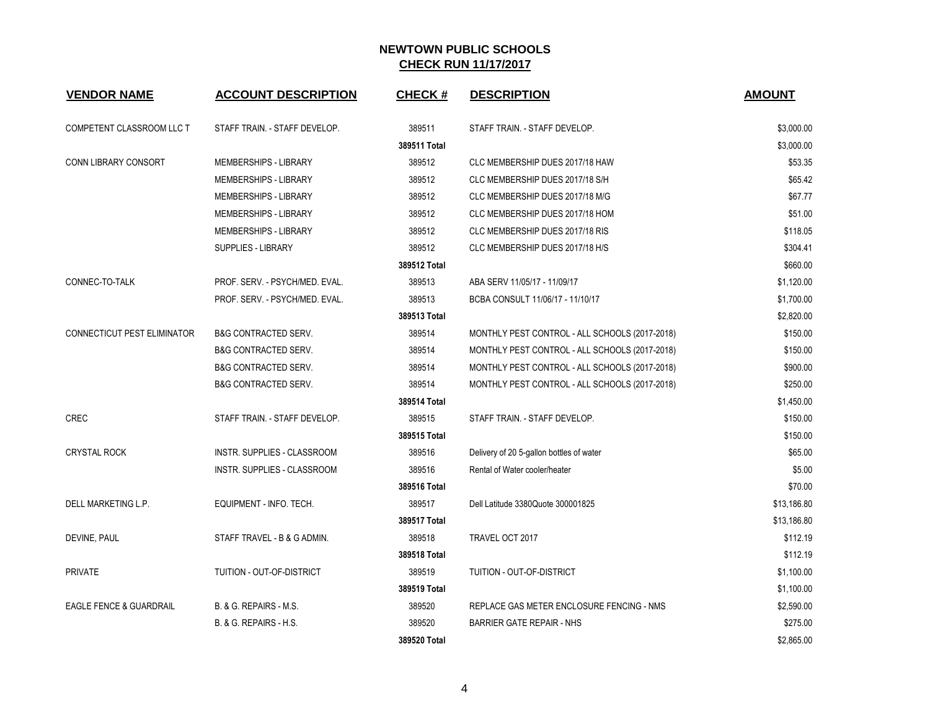| <b>VENDOR NAME</b>                 | <b>ACCOUNT DESCRIPTION</b>      | <b>CHECK#</b> | <b>DESCRIPTION</b>                             | <b>AMOUNT</b> |
|------------------------------------|---------------------------------|---------------|------------------------------------------------|---------------|
| COMPETENT CLASSROOM LLC T          | STAFF TRAIN. - STAFF DEVELOP.   | 389511        | STAFF TRAIN. - STAFF DEVELOP.                  | \$3,000.00    |
|                                    |                                 | 389511 Total  |                                                | \$3,000.00    |
| CONN LIBRARY CONSORT               | <b>MEMBERSHIPS - LIBRARY</b>    | 389512        | CLC MEMBERSHIP DUES 2017/18 HAW                | \$53.35       |
|                                    | MEMBERSHIPS - LIBRARY           | 389512        | CLC MEMBERSHIP DUES 2017/18 S/H                | \$65.42       |
|                                    | MEMBERSHIPS - LIBRARY           | 389512        | CLC MEMBERSHIP DUES 2017/18 M/G                | \$67.77       |
|                                    | MEMBERSHIPS - LIBRARY           | 389512        | CLC MEMBERSHIP DUES 2017/18 HOM                | \$51.00       |
|                                    | <b>MEMBERSHIPS - LIBRARY</b>    | 389512        | CLC MEMBERSHIP DUES 2017/18 RIS                | \$118.05      |
|                                    | <b>SUPPLIES - LIBRARY</b>       | 389512        | CLC MEMBERSHIP DUES 2017/18 H/S                | \$304.41      |
|                                    |                                 | 389512 Total  |                                                | \$660.00      |
| CONNEC-TO-TALK                     | PROF. SERV. - PSYCH/MED. EVAL.  | 389513        | ABA SERV 11/05/17 - 11/09/17                   | \$1,120.00    |
|                                    | PROF. SERV. - PSYCH/MED. EVAL.  | 389513        | BCBA CONSULT 11/06/17 - 11/10/17               | \$1,700.00    |
|                                    |                                 | 389513 Total  |                                                | \$2,820.00    |
| CONNECTICUT PEST ELIMINATOR        | <b>B&amp;G CONTRACTED SERV.</b> | 389514        | MONTHLY PEST CONTROL - ALL SCHOOLS (2017-2018) | \$150.00      |
|                                    | <b>B&amp;G CONTRACTED SERV.</b> | 389514        | MONTHLY PEST CONTROL - ALL SCHOOLS (2017-2018) | \$150.00      |
|                                    | <b>B&amp;G CONTRACTED SERV.</b> | 389514        | MONTHLY PEST CONTROL - ALL SCHOOLS (2017-2018) | \$900.00      |
|                                    | B&G CONTRACTED SERV.            | 389514        | MONTHLY PEST CONTROL - ALL SCHOOLS (2017-2018) | \$250.00      |
|                                    |                                 | 389514 Total  |                                                | \$1,450.00    |
| <b>CREC</b>                        | STAFF TRAIN. - STAFF DEVELOP.   | 389515        | STAFF TRAIN. - STAFF DEVELOP.                  | \$150.00      |
|                                    |                                 | 389515 Total  |                                                | \$150.00      |
| <b>CRYSTAL ROCK</b>                | INSTR. SUPPLIES - CLASSROOM     | 389516        | Delivery of 20 5-gallon bottles of water       | \$65.00       |
|                                    | INSTR. SUPPLIES - CLASSROOM     | 389516        | Rental of Water cooler/heater                  | \$5.00        |
|                                    |                                 | 389516 Total  |                                                | \$70.00       |
| DELL MARKETING L.P.                | EQUIPMENT - INFO. TECH.         | 389517        | Dell Latitude 3380Quote 300001825              | \$13,186.80   |
|                                    |                                 | 389517 Total  |                                                | \$13,186.80   |
| DEVINE, PAUL                       | STAFF TRAVEL - B & G ADMIN.     | 389518        | TRAVEL OCT 2017                                | \$112.19      |
|                                    |                                 | 389518 Total  |                                                | \$112.19      |
| <b>PRIVATE</b>                     | TUITION - OUT-OF-DISTRICT       | 389519        | TUITION - OUT-OF-DISTRICT                      | \$1,100.00    |
|                                    |                                 | 389519 Total  |                                                | \$1,100.00    |
| <b>EAGLE FENCE &amp; GUARDRAIL</b> | B. & G. REPAIRS - M.S.          | 389520        | REPLACE GAS METER ENCLOSURE FENCING - NMS      | \$2,590.00    |
|                                    | B. & G. REPAIRS - H.S.          | 389520        | <b>BARRIER GATE REPAIR - NHS</b>               | \$275.00      |
|                                    |                                 | 389520 Total  |                                                | \$2,865.00    |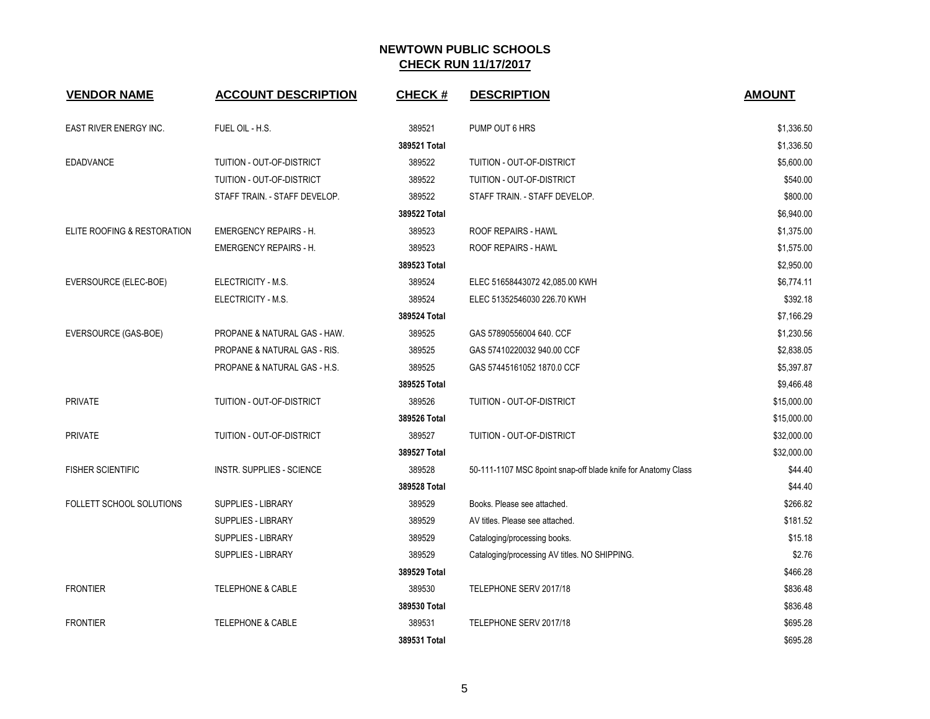| <b>VENDOR NAME</b>          | <b>ACCOUNT DESCRIPTION</b>       | <b>CHECK#</b> | <b>DESCRIPTION</b>                                            | <b>AMOUNT</b> |
|-----------------------------|----------------------------------|---------------|---------------------------------------------------------------|---------------|
| EAST RIVER ENERGY INC.      | FUEL OIL - H.S.                  | 389521        | PUMP OUT 6 HRS                                                | \$1,336.50    |
|                             |                                  | 389521 Total  |                                                               | \$1,336.50    |
| <b>EDADVANCE</b>            | TUITION - OUT-OF-DISTRICT        | 389522        | TUITION - OUT-OF-DISTRICT                                     | \$5,600.00    |
|                             | TUITION - OUT-OF-DISTRICT        | 389522        | TUITION - OUT-OF-DISTRICT                                     | \$540.00      |
|                             | STAFF TRAIN. - STAFF DEVELOP.    | 389522        | STAFF TRAIN. - STAFF DEVELOP.                                 | \$800.00      |
|                             |                                  | 389522 Total  |                                                               | \$6,940.00    |
| ELITE ROOFING & RESTORATION | <b>EMERGENCY REPAIRS - H.</b>    | 389523        | ROOF REPAIRS - HAWL                                           | \$1,375.00    |
|                             | <b>EMERGENCY REPAIRS - H.</b>    | 389523        | ROOF REPAIRS - HAWL                                           | \$1,575.00    |
|                             |                                  | 389523 Total  |                                                               | \$2,950.00    |
| EVERSOURCE (ELEC-BOE)       | ELECTRICITY - M.S.               | 389524        | ELEC 51658443072 42,085.00 KWH                                | \$6,774.11    |
|                             | ELECTRICITY - M.S.               | 389524        | ELEC 51352546030 226.70 KWH                                   | \$392.18      |
|                             |                                  | 389524 Total  |                                                               | \$7,166.29    |
| EVERSOURCE (GAS-BOE)        | PROPANE & NATURAL GAS - HAW.     | 389525        | GAS 57890556004 640. CCF                                      | \$1,230.56    |
|                             | PROPANE & NATURAL GAS - RIS.     | 389525        | GAS 57410220032 940.00 CCF                                    | \$2,838.05    |
|                             | PROPANE & NATURAL GAS - H.S.     | 389525        | GAS 57445161052 1870.0 CCF                                    | \$5,397.87    |
|                             |                                  | 389525 Total  |                                                               | \$9,466.48    |
| <b>PRIVATE</b>              | TUITION - OUT-OF-DISTRICT        | 389526        | TUITION - OUT-OF-DISTRICT                                     | \$15,000.00   |
|                             |                                  | 389526 Total  |                                                               | \$15,000.00   |
| <b>PRIVATE</b>              | TUITION - OUT-OF-DISTRICT        | 389527        | TUITION - OUT-OF-DISTRICT                                     | \$32,000.00   |
|                             |                                  | 389527 Total  |                                                               | \$32,000.00   |
| <b>FISHER SCIENTIFIC</b>    | <b>INSTR. SUPPLIES - SCIENCE</b> | 389528        | 50-111-1107 MSC 8point snap-off blade knife for Anatomy Class | \$44.40       |
|                             |                                  | 389528 Total  |                                                               | \$44.40       |
| FOLLETT SCHOOL SOLUTIONS    | <b>SUPPLIES - LIBRARY</b>        | 389529        | Books. Please see attached.                                   | \$266.82      |
|                             | SUPPLIES - LIBRARY               | 389529        | AV titles. Please see attached.                               | \$181.52      |
|                             | SUPPLIES - LIBRARY               | 389529        | Cataloging/processing books.                                  | \$15.18       |
|                             | SUPPLIES - LIBRARY               | 389529        | Cataloging/processing AV titles. NO SHIPPING.                 | \$2.76        |
|                             |                                  | 389529 Total  |                                                               | \$466.28      |
| <b>FRONTIER</b>             | <b>TELEPHONE &amp; CABLE</b>     | 389530        | TELEPHONE SERV 2017/18                                        | \$836.48      |
|                             |                                  | 389530 Total  |                                                               | \$836.48      |
| <b>FRONTIER</b>             | <b>TELEPHONE &amp; CABLE</b>     | 389531        | TELEPHONE SERV 2017/18                                        | \$695.28      |
|                             |                                  | 389531 Total  |                                                               | \$695.28      |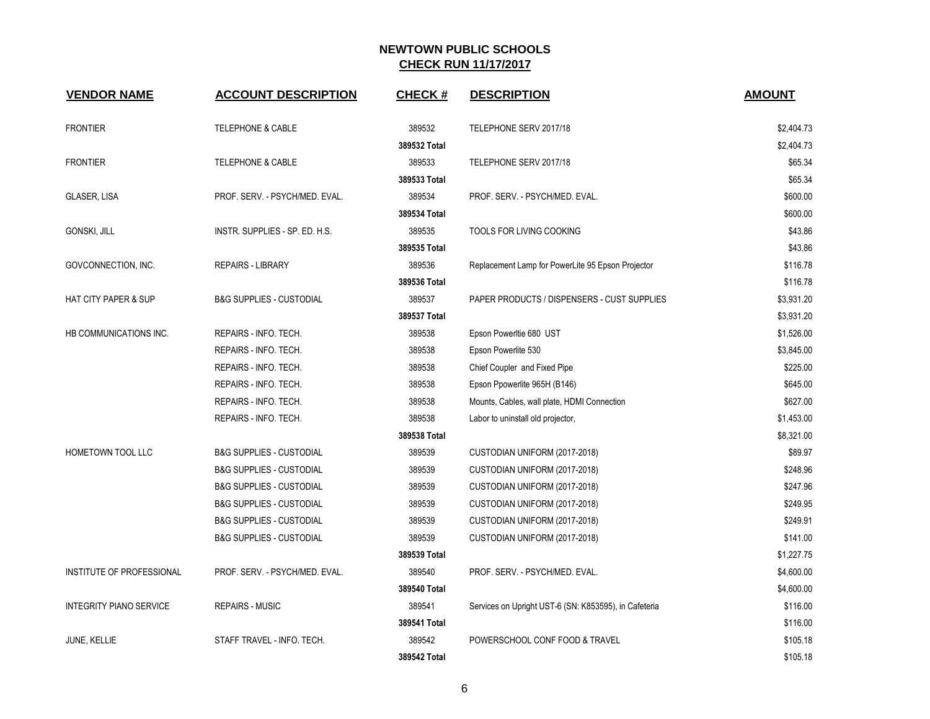| <b>VENDOR NAME</b>              | <b>ACCOUNT DESCRIPTION</b>          | <b>CHECK#</b> | <b>DESCRIPTION</b>                                    | <b>AMOUNT</b> |
|---------------------------------|-------------------------------------|---------------|-------------------------------------------------------|---------------|
| <b>FRONTIER</b>                 | <b>TELEPHONE &amp; CABLE</b>        | 389532        | TELEPHONE SERV 2017/18                                | \$2,404.73    |
|                                 |                                     | 389532 Total  |                                                       | \$2,404.73    |
| <b>FRONTIER</b>                 | <b>TELEPHONE &amp; CABLE</b>        | 389533        | TELEPHONE SERV 2017/18                                | \$65.34       |
|                                 |                                     | 389533 Total  |                                                       | \$65.34       |
| GLASER, LISA                    | PROF. SERV. - PSYCH/MED. EVAL.      | 389534        | PROF. SERV. - PSYCH/MED. EVAL.                        | \$600.00      |
|                                 |                                     | 389534 Total  |                                                       | \$600.00      |
| <b>GONSKI, JILL</b>             | INSTR. SUPPLIES - SP. ED. H.S.      | 389535        | TOOLS FOR LIVING COOKING                              | \$43.86       |
|                                 |                                     | 389535 Total  |                                                       | \$43.86       |
| GOVCONNECTION, INC.             | <b>REPAIRS - LIBRARY</b>            | 389536        | Replacement Lamp for PowerLite 95 Epson Projector     | \$116.78      |
|                                 |                                     | 389536 Total  |                                                       | \$116.78      |
| <b>HAT CITY PAPER &amp; SUP</b> | <b>B&amp;G SUPPLIES - CUSTODIAL</b> | 389537        | PAPER PRODUCTS / DISPENSERS - CUST SUPPLIES           | \$3,931.20    |
|                                 |                                     | 389537 Total  |                                                       | \$3,931.20    |
| HB COMMUNICATIONS INC.          | REPAIRS - INFO. TECH.               | 389538        | Epson Powerltie 680 UST                               | \$1,526.00    |
|                                 | REPAIRS - INFO. TECH.               | 389538        | Epson Powerlite 530                                   | \$3,845.00    |
|                                 | REPAIRS - INFO. TECH.               | 389538        | Chief Coupler and Fixed Pipe                          | \$225.00      |
|                                 | REPAIRS - INFO. TECH.               | 389538        | Epson Ppowerlite 965H (B146)                          | \$645.00      |
|                                 | REPAIRS - INFO. TECH.               | 389538        | Mounts, Cables, wall plate, HDMI Connection           | \$627.00      |
|                                 | REPAIRS - INFO. TECH.               | 389538        | Labor to uninstall old projector,                     | \$1,453.00    |
|                                 |                                     | 389538 Total  |                                                       | \$8,321.00    |
| HOMETOWN TOOL LLC               | <b>B&amp;G SUPPLIES - CUSTODIAL</b> | 389539        | CUSTODIAN UNIFORM (2017-2018)                         | \$89.97       |
|                                 | <b>B&amp;G SUPPLIES - CUSTODIAL</b> | 389539        | CUSTODIAN UNIFORM (2017-2018)                         | \$248.96      |
|                                 | <b>B&amp;G SUPPLIES - CUSTODIAL</b> | 389539        | CUSTODIAN UNIFORM (2017-2018)                         | \$247.96      |
|                                 | <b>B&amp;G SUPPLIES - CUSTODIAL</b> | 389539        | CUSTODIAN UNIFORM (2017-2018)                         | \$249.95      |
|                                 | <b>B&amp;G SUPPLIES - CUSTODIAL</b> | 389539        | CUSTODIAN UNIFORM (2017-2018)                         | \$249.91      |
|                                 | <b>B&amp;G SUPPLIES - CUSTODIAL</b> | 389539        | CUSTODIAN UNIFORM (2017-2018)                         | \$141.00      |
|                                 |                                     | 389539 Total  |                                                       | \$1,227.75    |
| INSTITUTE OF PROFESSIONAL       | PROF. SERV. - PSYCH/MED. EVAL.      | 389540        | PROF. SERV. - PSYCH/MED. EVAL.                        | \$4,600.00    |
|                                 |                                     | 389540 Total  |                                                       | \$4,600.00    |
| <b>INTEGRITY PIANO SERVICE</b>  | <b>REPAIRS - MUSIC</b>              | 389541        | Services on Upright UST-6 (SN: K853595), in Cafeteria | \$116.00      |
|                                 |                                     | 389541 Total  |                                                       | \$116.00      |
| <b>JUNE, KELLIE</b>             | STAFF TRAVEL - INFO. TECH.          | 389542        | POWERSCHOOL CONF FOOD & TRAVEL                        | \$105.18      |
|                                 |                                     | 389542 Total  |                                                       | \$105.18      |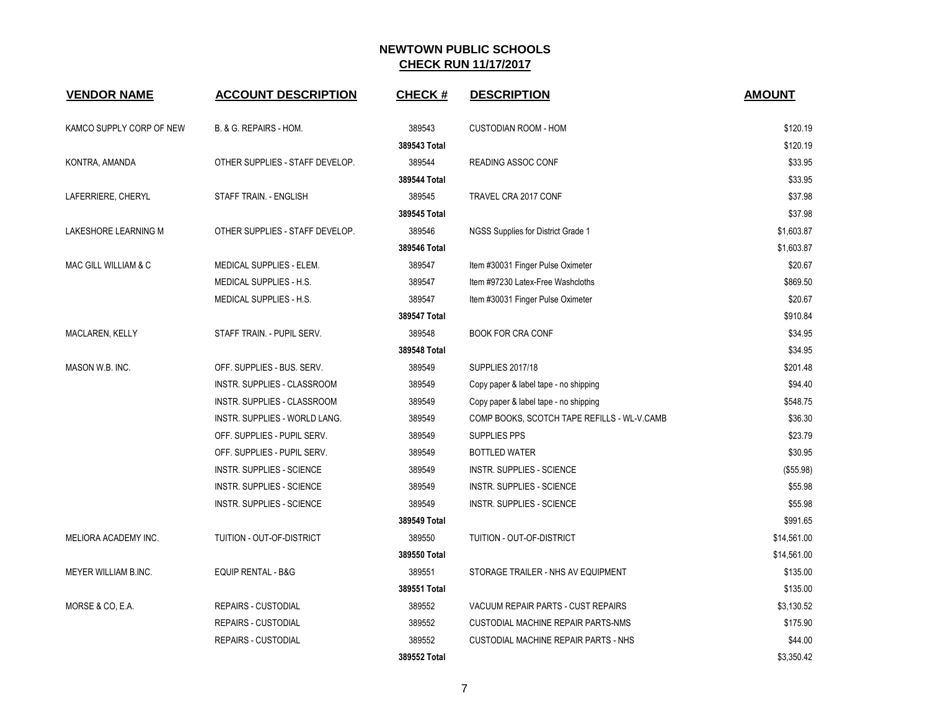| <b>VENDOR NAME</b>       | <b>ACCOUNT DESCRIPTION</b>      | <b>CHECK#</b> | <b>DESCRIPTION</b>                          | <b>AMOUNT</b> |
|--------------------------|---------------------------------|---------------|---------------------------------------------|---------------|
| KAMCO SUPPLY CORP OF NEW | B. & G. REPAIRS - HOM.          | 389543        | <b>CUSTODIAN ROOM - HOM</b>                 | \$120.19      |
|                          |                                 | 389543 Total  |                                             | \$120.19      |
| KONTRA, AMANDA           | OTHER SUPPLIES - STAFF DEVELOP. | 389544        | <b>READING ASSOC CONF</b>                   | \$33.95       |
|                          |                                 | 389544 Total  |                                             | \$33.95       |
| LAFERRIERE, CHERYL       | STAFF TRAIN. - ENGLISH          | 389545        | TRAVEL CRA 2017 CONF                        | \$37.98       |
|                          |                                 | 389545 Total  |                                             | \$37.98       |
| LAKESHORE LEARNING M     | OTHER SUPPLIES - STAFF DEVELOP. | 389546        | NGSS Supplies for District Grade 1          | \$1,603.87    |
|                          |                                 | 389546 Total  |                                             | \$1,603.87    |
| MAC GILL WILLIAM & C     | MEDICAL SUPPLIES - ELEM.        | 389547        | Item #30031 Finger Pulse Oximeter           | \$20.67       |
|                          | <b>MEDICAL SUPPLIES - H.S.</b>  | 389547        | Item #97230 Latex-Free Washcloths           | \$869.50      |
|                          | MEDICAL SUPPLIES - H.S.         | 389547        | Item #30031 Finger Pulse Oximeter           | \$20.67       |
|                          |                                 | 389547 Total  |                                             | \$910.84      |
| MACLAREN, KELLY          | STAFF TRAIN. - PUPIL SERV.      | 389548        | <b>BOOK FOR CRA CONF</b>                    | \$34.95       |
|                          |                                 | 389548 Total  |                                             | \$34.95       |
| MASON W.B. INC.          | OFF. SUPPLIES - BUS. SERV.      | 389549        | <b>SUPPLIES 2017/18</b>                     | \$201.48      |
|                          | INSTR. SUPPLIES - CLASSROOM     | 389549        | Copy paper & label tape - no shipping       | \$94.40       |
|                          | INSTR. SUPPLIES - CLASSROOM     | 389549        | Copy paper & label tape - no shipping       | \$548.75      |
|                          | INSTR. SUPPLIES - WORLD LANG.   | 389549        | COMP BOOKS, SCOTCH TAPE REFILLS - WL-V.CAMB | \$36.30       |
|                          | OFF. SUPPLIES - PUPIL SERV.     | 389549        | SUPPLIES PPS                                | \$23.79       |
|                          | OFF. SUPPLIES - PUPIL SERV.     | 389549        | <b>BOTTLED WATER</b>                        | \$30.95       |
|                          | INSTR. SUPPLIES - SCIENCE       | 389549        | INSTR. SUPPLIES - SCIENCE                   | (\$55.98)     |
|                          | INSTR. SUPPLIES - SCIENCE       | 389549        | INSTR. SUPPLIES - SCIENCE                   | \$55.98       |
|                          | INSTR. SUPPLIES - SCIENCE       | 389549        | INSTR. SUPPLIES - SCIENCE                   | \$55.98       |
|                          |                                 | 389549 Total  |                                             | \$991.65      |
| MELIORA ACADEMY INC.     | TUITION - OUT-OF-DISTRICT       | 389550        | TUITION - OUT-OF-DISTRICT                   | \$14,561.00   |
|                          |                                 | 389550 Total  |                                             | \$14,561.00   |
| MEYER WILLIAM B.INC.     | <b>EQUIP RENTAL - B&amp;G</b>   | 389551        | STORAGE TRAILER - NHS AV EQUIPMENT          | \$135.00      |
|                          |                                 | 389551 Total  |                                             | \$135.00      |
| MORSE & CO, E.A.         | REPAIRS - CUSTODIAL             | 389552        | VACUUM REPAIR PARTS - CUST REPAIRS          | \$3,130.52    |
|                          | <b>REPAIRS - CUSTODIAL</b>      | 389552        | CUSTODIAL MACHINE REPAIR PARTS-NMS          | \$175.90      |
|                          | <b>REPAIRS - CUSTODIAL</b>      | 389552        | <b>CUSTODIAL MACHINE REPAIR PARTS - NHS</b> | \$44.00       |
|                          |                                 | 389552 Total  |                                             | \$3,350.42    |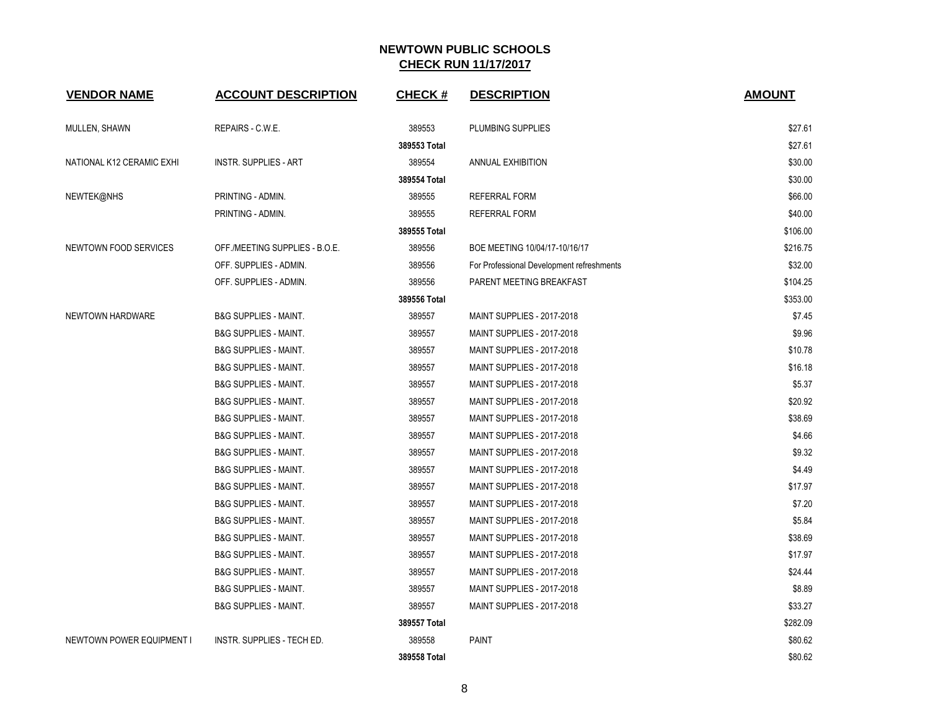| <b>VENDOR NAME</b>        | <b>ACCOUNT DESCRIPTION</b>       | <b>CHECK#</b> | <b>DESCRIPTION</b>                        | <b>AMOUNT</b> |
|---------------------------|----------------------------------|---------------|-------------------------------------------|---------------|
| MULLEN, SHAWN             | REPAIRS - C.W.E.                 | 389553        | PLUMBING SUPPLIES                         | \$27.61       |
|                           |                                  | 389553 Total  |                                           | \$27.61       |
| NATIONAL K12 CERAMIC EXHI | <b>INSTR. SUPPLIES - ART</b>     | 389554        | <b>ANNUAL EXHIBITION</b>                  | \$30.00       |
|                           |                                  | 389554 Total  |                                           | \$30.00       |
| NEWTEK@NHS                | PRINTING - ADMIN.                | 389555        | REFERRAL FORM                             | \$66.00       |
|                           | PRINTING - ADMIN.                | 389555        | <b>REFERRAL FORM</b>                      | \$40.00       |
|                           |                                  | 389555 Total  |                                           | \$106.00      |
| NEWTOWN FOOD SERVICES     | OFF./MEETING SUPPLIES - B.O.E.   | 389556        | BOE MEETING 10/04/17-10/16/17             | \$216.75      |
|                           | OFF. SUPPLIES - ADMIN.           | 389556        | For Professional Development refreshments | \$32.00       |
|                           | OFF. SUPPLIES - ADMIN.           | 389556        | PARENT MEETING BREAKFAST                  | \$104.25      |
|                           |                                  | 389556 Total  |                                           | \$353.00      |
| NEWTOWN HARDWARE          | <b>B&amp;G SUPPLIES - MAINT.</b> | 389557        | MAINT SUPPLIES - 2017-2018                | \$7.45        |
|                           | <b>B&amp;G SUPPLIES - MAINT.</b> | 389557        | <b>MAINT SUPPLIES - 2017-2018</b>         | \$9.96        |
|                           | <b>B&amp;G SUPPLIES - MAINT.</b> | 389557        | MAINT SUPPLIES - 2017-2018                | \$10.78       |
|                           | <b>B&amp;G SUPPLIES - MAINT.</b> | 389557        | MAINT SUPPLIES - 2017-2018                | \$16.18       |
|                           | <b>B&amp;G SUPPLIES - MAINT.</b> | 389557        | MAINT SUPPLIES - 2017-2018                | \$5.37        |
|                           | <b>B&amp;G SUPPLIES - MAINT.</b> | 389557        | MAINT SUPPLIES - 2017-2018                | \$20.92       |
|                           | <b>B&amp;G SUPPLIES - MAINT.</b> | 389557        | <b>MAINT SUPPLIES - 2017-2018</b>         | \$38.69       |
|                           | <b>B&amp;G SUPPLIES - MAINT.</b> | 389557        | <b>MAINT SUPPLIES - 2017-2018</b>         | \$4.66        |
|                           | <b>B&amp;G SUPPLIES - MAINT.</b> | 389557        | MAINT SUPPLIES - 2017-2018                | \$9.32        |
|                           | <b>B&amp;G SUPPLIES - MAINT.</b> | 389557        | MAINT SUPPLIES - 2017-2018                | \$4.49        |
|                           | <b>B&amp;G SUPPLIES - MAINT.</b> | 389557        | MAINT SUPPLIES - 2017-2018                | \$17.97       |
|                           | <b>B&amp;G SUPPLIES - MAINT.</b> | 389557        | MAINT SUPPLIES - 2017-2018                | \$7.20        |
|                           | <b>B&amp;G SUPPLIES - MAINT.</b> | 389557        | MAINT SUPPLIES - 2017-2018                | \$5.84        |
|                           | <b>B&amp;G SUPPLIES - MAINT.</b> | 389557        | MAINT SUPPLIES - 2017-2018                | \$38.69       |
|                           | <b>B&amp;G SUPPLIES - MAINT.</b> | 389557        | <b>MAINT SUPPLIES - 2017-2018</b>         | \$17.97       |
|                           | <b>B&amp;G SUPPLIES - MAINT.</b> | 389557        | <b>MAINT SUPPLIES - 2017-2018</b>         | \$24.44       |
|                           | <b>B&amp;G SUPPLIES - MAINT.</b> | 389557        | MAINT SUPPLIES - 2017-2018                | \$8.89        |
|                           | <b>B&amp;G SUPPLIES - MAINT.</b> | 389557        | MAINT SUPPLIES - 2017-2018                | \$33.27       |
|                           |                                  | 389557 Total  |                                           | \$282.09      |
| NEWTOWN POWER EQUIPMENT I | INSTR. SUPPLIES - TECH ED.       | 389558        | PAINT                                     | \$80.62       |
|                           |                                  | 389558 Total  |                                           | \$80.62       |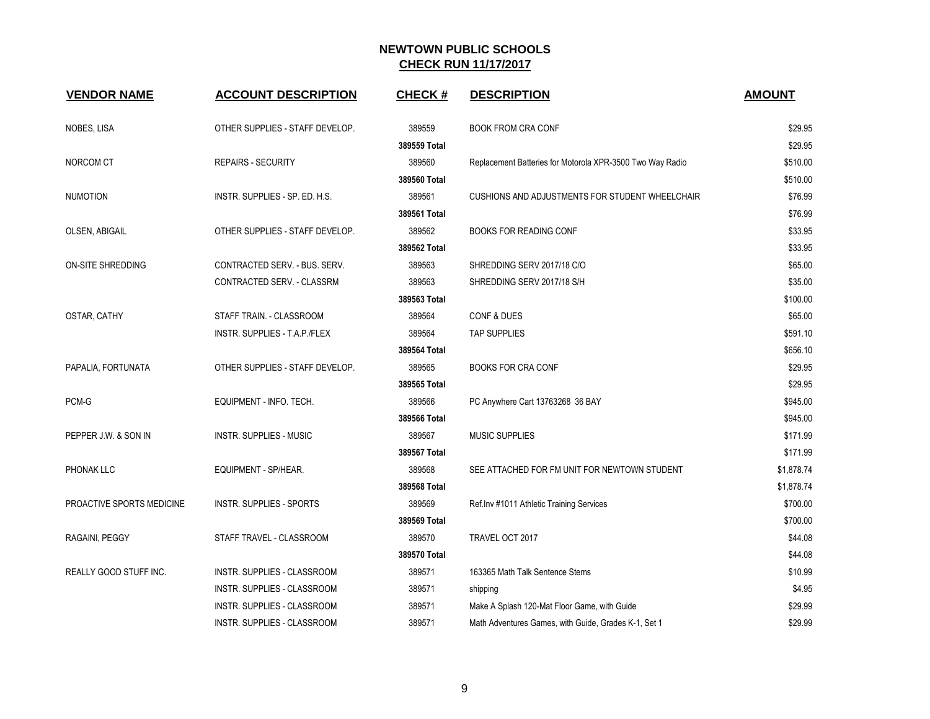| <b>VENDOR NAME</b>        | <b>ACCOUNT DESCRIPTION</b>         | <b>CHECK#</b> | <b>DESCRIPTION</b>                                        | <b>AMOUNT</b> |
|---------------------------|------------------------------------|---------------|-----------------------------------------------------------|---------------|
| NOBES, LISA               | OTHER SUPPLIES - STAFF DEVELOP.    | 389559        | <b>BOOK FROM CRA CONF</b>                                 | \$29.95       |
|                           |                                    | 389559 Total  |                                                           | \$29.95       |
| NORCOM CT                 | <b>REPAIRS - SECURITY</b>          | 389560        | Replacement Batteries for Motorola XPR-3500 Two Way Radio | \$510.00      |
|                           |                                    | 389560 Total  |                                                           | \$510.00      |
| <b>NUMOTION</b>           | INSTR. SUPPLIES - SP. ED. H.S.     | 389561        | CUSHIONS AND ADJUSTMENTS FOR STUDENT WHEELCHAIR           | \$76.99       |
|                           |                                    | 389561 Total  |                                                           | \$76.99       |
| OLSEN, ABIGAIL            | OTHER SUPPLIES - STAFF DEVELOP.    | 389562        | <b>BOOKS FOR READING CONF</b>                             | \$33.95       |
|                           |                                    | 389562 Total  |                                                           | \$33.95       |
| <b>ON-SITE SHREDDING</b>  | CONTRACTED SERV. - BUS. SERV.      | 389563        | SHREDDING SERV 2017/18 C/O                                | \$65.00       |
|                           | CONTRACTED SERV. - CLASSRM         | 389563        | SHREDDING SERV 2017/18 S/H                                | \$35.00       |
|                           |                                    | 389563 Total  |                                                           | \$100.00      |
| OSTAR, CATHY              | STAFF TRAIN. - CLASSROOM           | 389564        | <b>CONF &amp; DUES</b>                                    | \$65.00       |
|                           | INSTR. SUPPLIES - T.A.P./FLEX      | 389564        | <b>TAP SUPPLIES</b>                                       | \$591.10      |
|                           |                                    | 389564 Total  |                                                           | \$656.10      |
| PAPALIA, FORTUNATA        | OTHER SUPPLIES - STAFF DEVELOP.    | 389565        | <b>BOOKS FOR CRA CONF</b>                                 | \$29.95       |
|                           |                                    | 389565 Total  |                                                           | \$29.95       |
| PCM-G                     | EQUIPMENT - INFO. TECH.            | 389566        | PC Anywhere Cart 13763268 36 BAY                          | \$945.00      |
|                           |                                    | 389566 Total  |                                                           | \$945.00      |
| PEPPER J.W. & SON IN      | <b>INSTR. SUPPLIES - MUSIC</b>     | 389567        | <b>MUSIC SUPPLIES</b>                                     | \$171.99      |
|                           |                                    | 389567 Total  |                                                           | \$171.99      |
| PHONAK LLC                | EQUIPMENT - SP/HEAR.               | 389568        | SEE ATTACHED FOR FM UNIT FOR NEWTOWN STUDENT              | \$1,878.74    |
|                           |                                    | 389568 Total  |                                                           | \$1,878.74    |
| PROACTIVE SPORTS MEDICINE | <b>INSTR. SUPPLIES - SPORTS</b>    | 389569        | Ref.Inv #1011 Athletic Training Services                  | \$700.00      |
|                           |                                    | 389569 Total  |                                                           | \$700.00      |
| RAGAINI, PEGGY            | STAFF TRAVEL - CLASSROOM           | 389570        | TRAVEL OCT 2017                                           | \$44.08       |
|                           |                                    | 389570 Total  |                                                           | \$44.08       |
| REALLY GOOD STUFF INC.    | INSTR. SUPPLIES - CLASSROOM        | 389571        | 163365 Math Talk Sentence Stems                           | \$10.99       |
|                           | INSTR. SUPPLIES - CLASSROOM        | 389571        | shipping                                                  | \$4.95        |
|                           | <b>INSTR. SUPPLIES - CLASSROOM</b> | 389571        | Make A Splash 120-Mat Floor Game, with Guide              | \$29.99       |
|                           | INSTR. SUPPLIES - CLASSROOM        | 389571        | Math Adventures Games, with Guide, Grades K-1, Set 1      | \$29.99       |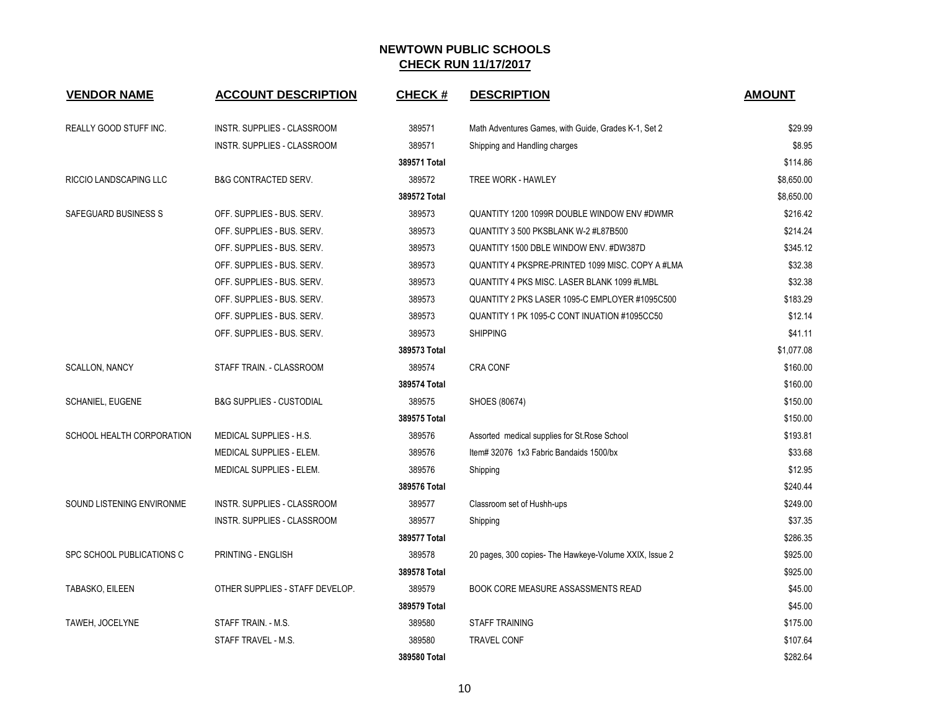| <b>VENDOR NAME</b>        | <b>ACCOUNT DESCRIPTION</b>          | <b>CHECK#</b> | <b>DESCRIPTION</b>                                     | <b>AMOUNT</b> |
|---------------------------|-------------------------------------|---------------|--------------------------------------------------------|---------------|
| REALLY GOOD STUFF INC.    | INSTR. SUPPLIES - CLASSROOM         | 389571        | Math Adventures Games, with Guide, Grades K-1, Set 2   | \$29.99       |
|                           | INSTR. SUPPLIES - CLASSROOM         | 389571        | Shipping and Handling charges                          | \$8.95        |
|                           |                                     | 389571 Total  |                                                        | \$114.86      |
| RICCIO LANDSCAPING LLC    | <b>B&amp;G CONTRACTED SERV.</b>     | 389572        | TREE WORK - HAWLEY                                     | \$8,650.00    |
|                           |                                     | 389572 Total  |                                                        | \$8,650.00    |
| SAFEGUARD BUSINESS S      | OFF. SUPPLIES - BUS. SERV.          | 389573        | QUANTITY 1200 1099R DOUBLE WINDOW ENV #DWMR            | \$216.42      |
|                           | OFF. SUPPLIES - BUS. SERV.          | 389573        | QUANTITY 3 500 PKSBLANK W-2 #L87B500                   | \$214.24      |
|                           | OFF. SUPPLIES - BUS. SERV.          | 389573        | QUANTITY 1500 DBLE WINDOW ENV. #DW387D                 | \$345.12      |
|                           | OFF. SUPPLIES - BUS. SERV.          | 389573        | QUANTITY 4 PKSPRE-PRINTED 1099 MISC. COPY A #LMA       | \$32.38       |
|                           | OFF. SUPPLIES - BUS. SERV.          | 389573        | QUANTITY 4 PKS MISC. LASER BLANK 1099 #LMBL            | \$32.38       |
|                           | OFF. SUPPLIES - BUS. SERV.          | 389573        | QUANTITY 2 PKS LASER 1095-C EMPLOYER #1095C500         | \$183.29      |
|                           | OFF. SUPPLIES - BUS. SERV.          | 389573        | QUANTITY 1 PK 1095-C CONT INUATION #1095CC50           | \$12.14       |
|                           | OFF. SUPPLIES - BUS. SERV.          | 389573        | <b>SHIPPING</b>                                        | \$41.11       |
|                           |                                     | 389573 Total  |                                                        | \$1,077.08    |
| <b>SCALLON, NANCY</b>     | STAFF TRAIN. - CLASSROOM            | 389574        | CRA CONF                                               | \$160.00      |
|                           |                                     | 389574 Total  |                                                        | \$160.00      |
| <b>SCHANIEL, EUGENE</b>   | <b>B&amp;G SUPPLIES - CUSTODIAL</b> | 389575        | SHOES (80674)                                          | \$150.00      |
|                           |                                     | 389575 Total  |                                                        | \$150.00      |
| SCHOOL HEALTH CORPORATION | MEDICAL SUPPLIES - H.S.             | 389576        | Assorted medical supplies for St. Rose School          | \$193.81      |
|                           | MEDICAL SUPPLIES - ELEM.            | 389576        | Item# 32076 1x3 Fabric Bandaids 1500/bx                | \$33.68       |
|                           | MEDICAL SUPPLIES - ELEM.            | 389576        | Shipping                                               | \$12.95       |
|                           |                                     | 389576 Total  |                                                        | \$240.44      |
| SOUND LISTENING ENVIRONME | <b>INSTR. SUPPLIES - CLASSROOM</b>  | 389577        | Classroom set of Hushh-ups                             | \$249.00      |
|                           | INSTR. SUPPLIES - CLASSROOM         | 389577        | Shipping                                               | \$37.35       |
|                           |                                     | 389577 Total  |                                                        | \$286.35      |
| SPC SCHOOL PUBLICATIONS C | PRINTING - ENGLISH                  | 389578        | 20 pages, 300 copies- The Hawkeye-Volume XXIX, Issue 2 | \$925.00      |
|                           |                                     | 389578 Total  |                                                        | \$925.00      |
| TABASKO, EILEEN           | OTHER SUPPLIES - STAFF DEVELOP.     | 389579        | <b>BOOK CORE MEASURE ASSASSMENTS READ</b>              | \$45.00       |
|                           |                                     | 389579 Total  |                                                        | \$45.00       |
| TAWEH, JOCELYNE           | STAFF TRAIN. - M.S.                 | 389580        | <b>STAFF TRAINING</b>                                  | \$175.00      |
|                           | STAFF TRAVEL - M.S.                 | 389580        | <b>TRAVEL CONF</b>                                     | \$107.64      |
|                           |                                     | 389580 Total  |                                                        | \$282.64      |